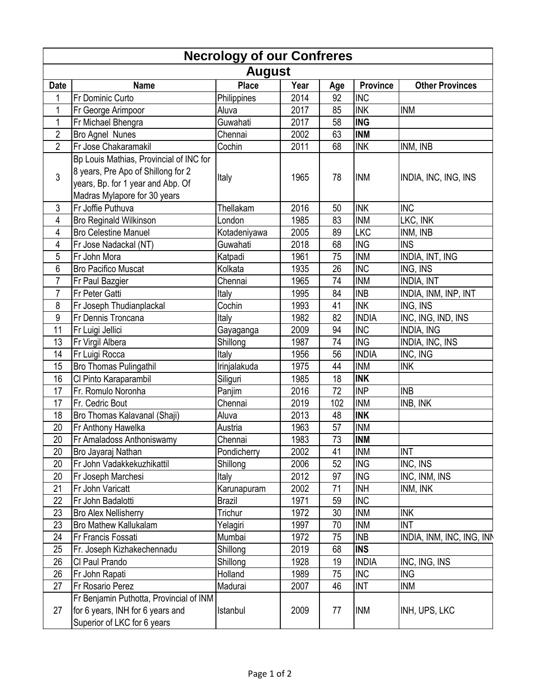| <b>Necrology of our Confreres</b> |                                                                                                                                                    |               |      |     |                 |                             |  |  |  |  |
|-----------------------------------|----------------------------------------------------------------------------------------------------------------------------------------------------|---------------|------|-----|-----------------|-----------------------------|--|--|--|--|
| <b>August</b>                     |                                                                                                                                                    |               |      |     |                 |                             |  |  |  |  |
| <b>Date</b>                       | <b>Name</b>                                                                                                                                        | <b>Place</b>  | Year | Age | <b>Province</b> | <b>Other Provinces</b>      |  |  |  |  |
| 1                                 | <b>Fr Dominic Curto</b>                                                                                                                            | Philippines   | 2014 | 92  | <b>INC</b>      |                             |  |  |  |  |
| 1                                 | Fr George Arimpoor                                                                                                                                 | Aluva         | 2017 | 85  | <b>INK</b>      | <b>INM</b>                  |  |  |  |  |
| 1                                 | Fr Michael Bhengra                                                                                                                                 | Guwahati      | 2017 | 58  | <b>ING</b>      |                             |  |  |  |  |
| $\overline{c}$                    | Bro Agnel Nunes                                                                                                                                    | Chennai       | 2002 | 63  | <b>INM</b>      |                             |  |  |  |  |
| $\overline{2}$                    | Fr Jose Chakaramakil                                                                                                                               | Cochin        | 2011 | 68  | <b>INK</b>      | INM, INB                    |  |  |  |  |
| 3                                 | Bp Louis Mathias, Provincial of INC for<br>8 years, Pre Apo of Shillong for 2<br>years, Bp. for 1 year and Abp. Of<br>Madras Mylapore for 30 years | Italy         | 1965 | 78  | <b>INM</b>      | <b>INDIA, INC, ING, INS</b> |  |  |  |  |
| 3                                 | Fr Joffie Puthuva                                                                                                                                  | Thellakam     | 2016 | 50  | <b>INK</b>      | <b>INC</b>                  |  |  |  |  |
| 4                                 | <b>Bro Reginald Wilkinson</b>                                                                                                                      | London        | 1985 | 83  | <b>INM</b>      | LKC, INK                    |  |  |  |  |
| 4                                 | <b>Bro Celestine Manuel</b>                                                                                                                        | Kotadeniyawa  | 2005 | 89  | <b>LKC</b>      | INM, INB                    |  |  |  |  |
| 4                                 | Fr Jose Nadackal (NT)                                                                                                                              | Guwahati      | 2018 | 68  | <b>ING</b>      | <b>INS</b>                  |  |  |  |  |
| 5                                 | Fr John Mora                                                                                                                                       | Katpadi       | 1961 | 75  | <b>INM</b>      | INDIA, INT, ING             |  |  |  |  |
| 6                                 | <b>Bro Pacifico Muscat</b>                                                                                                                         | Kolkata       | 1935 | 26  | <b>INC</b>      | ING, INS                    |  |  |  |  |
| $\overline{7}$                    | Fr Paul Bazgier                                                                                                                                    | Chennai       | 1965 | 74  | <b>INM</b>      | <b>INDIA, INT</b>           |  |  |  |  |
| $\overline{7}$                    | Fr Peter Gatti                                                                                                                                     | Italy         | 1995 | 84  | <b>INB</b>      | INDIA, INM, INP, INT        |  |  |  |  |
| 8                                 | Fr Joseph Thudianplackal                                                                                                                           | Cochin        | 1993 | 41  | <b>INK</b>      | ING, INS                    |  |  |  |  |
| 9                                 | Fr Dennis Troncana                                                                                                                                 | Italy         | 1982 | 82  | <b>INDIA</b>    | INC, ING, IND, INS          |  |  |  |  |
| 11                                | Fr Luigi Jellici                                                                                                                                   | Gayaganga     | 2009 | 94  | <b>INC</b>      | <b>INDIA, ING</b>           |  |  |  |  |
| 13                                | Fr Virgil Albera                                                                                                                                   | Shillong      | 1987 | 74  | <b>ING</b>      | INDIA, INC, INS             |  |  |  |  |
| 14                                | Fr Luigi Rocca                                                                                                                                     | Italy         | 1956 | 56  | <b>INDIA</b>    | INC, ING                    |  |  |  |  |
| 15                                | <b>Bro Thomas Pulingathil</b>                                                                                                                      | Irinjalakuda  | 1975 | 44  | <b>INM</b>      | <b>INK</b>                  |  |  |  |  |
| 16                                | Cl Pinto Karaparambil                                                                                                                              | Siliguri      | 1985 | 18  | <b>INK</b>      |                             |  |  |  |  |
| 17                                | Fr. Romulo Noronha                                                                                                                                 | Panjim        | 2016 | 72  | <b>INP</b>      | <b>INB</b>                  |  |  |  |  |
| 17                                | Fr. Cedric Bout                                                                                                                                    | Chennai       | 2019 | 102 | <b>INM</b>      | INB, INK                    |  |  |  |  |
| 18                                | Bro Thomas Kalavanal (Shaji)                                                                                                                       | Aluva         | 2013 | 48  | <b>INK</b>      |                             |  |  |  |  |
| 20                                | Fr Anthony Hawelka                                                                                                                                 | Austria       | 1963 | 57  | <b>INM</b>      |                             |  |  |  |  |
| 20                                | Fr Amaladoss Anthoniswamy                                                                                                                          | Chennai       | 1983 | 73  | <b>INM</b>      |                             |  |  |  |  |
| 20                                | Bro Jayaraj Nathan                                                                                                                                 | Pondicherry   | 2002 | 41  | <b>INM</b>      | <b>INT</b>                  |  |  |  |  |
| 20                                | Fr John Vadakkekuzhikattil                                                                                                                         | Shillong      | 2006 | 52  | <b>ING</b>      | INC, INS                    |  |  |  |  |
| 20                                | Fr Joseph Marchesi                                                                                                                                 | Italy         | 2012 | 97  | <b>ING</b>      | INC, INM, INS               |  |  |  |  |
| 21                                | Fr John Varicatt                                                                                                                                   | Karunapuram   | 2002 | 71  | <b>INH</b>      | INM, INK                    |  |  |  |  |
| 22                                | Fr John Badalotti                                                                                                                                  | <b>Brazil</b> | 1971 | 59  | <b>INC</b>      |                             |  |  |  |  |
| 23                                | <b>Bro Alex Nellisherry</b>                                                                                                                        | Trichur       | 1972 | 30  | <b>INM</b>      | <b>INK</b>                  |  |  |  |  |
| 23                                | <b>Bro Mathew Kallukalam</b>                                                                                                                       | Yelagiri      | 1997 | 70  | <b>INM</b>      | <b>INT</b>                  |  |  |  |  |
| 24                                | <b>Fr Francis Fossati</b>                                                                                                                          | Mumbai        | 1972 | 75  | <b>INB</b>      | INDIA, INM, INC, ING, INN   |  |  |  |  |
| 25                                | Fr. Joseph Kizhakechennadu                                                                                                                         | Shillong      | 2019 | 68  | <b>INS</b>      |                             |  |  |  |  |
| 26                                | CI Paul Prando                                                                                                                                     | Shillong      | 1928 | 19  | <b>INDIA</b>    | INC, ING, INS               |  |  |  |  |
| 26                                | Fr John Rapati                                                                                                                                     | Holland       | 1989 | 75  | <b>INC</b>      | <b>ING</b>                  |  |  |  |  |
| 27                                | <b>Fr Rosario Perez</b>                                                                                                                            | Madurai       | 2007 | 46  | INT             | <b>INM</b>                  |  |  |  |  |
| 27                                | Fr Benjamin Puthotta, Provincial of INM<br>for 6 years, INH for 6 years and<br>Superior of LKC for 6 years                                         | Istanbul      | 2009 | 77  | <b>INM</b>      | <b>INH, UPS, LKC</b>        |  |  |  |  |